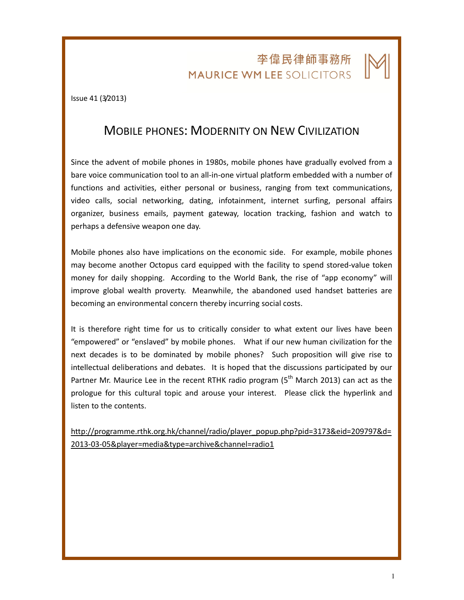## 李偉民律師事務所 **MAURICE WM LEE SOLICITORS**

Issue 41 (3/2013)

## MOBILE PHONES: MODERNITY ON NEW CIVILIZATION

Since the advent of mobile phones in 1980s, mobile phones have gradually evolved from a bare voice communication tool to an all-in-one virtual platform embedded with a number of functions and activities, either personal or business, ranging from text communications, video calls, social networking, dating, infotainment, internet surfing, personal affairs organizer, business emails, payment gateway, location tracking, fashion and watch to perhaps a defensive weapon one day.

Mobile phones also have implications on the economic side. For example, mobile phones may become another Octopus card equipped with the facility to spend stored-value token money for daily shopping. According to the World Bank, the rise of "app economy" will improve global wealth proverty. Meanwhile, the abandoned used handset batteries are becoming an environmental concern thereby incurring social costs.

It is therefore right time for us to critically consider to what extent our lives have been "empowered" or "enslaved" by mobile phones. What if our new human civilization for the next decades is to be dominated by mobile phones? Such proposition will give rise to intellectual deliberations and debates. It is hoped that the discussions participated by our Partner Mr. Maurice Lee in the recent RTHK radio program ( $5<sup>th</sup>$  March 2013) can act as the prologue for this cultural topic and arouse your interest. Please click the hyperlink and listen to the contents.

http://programme.rthk.org.hk/channel/radio/player\_popup.php?pid=3173&eid=209797&d= 2013-03-05&player=media&type=archive&channel=radio1